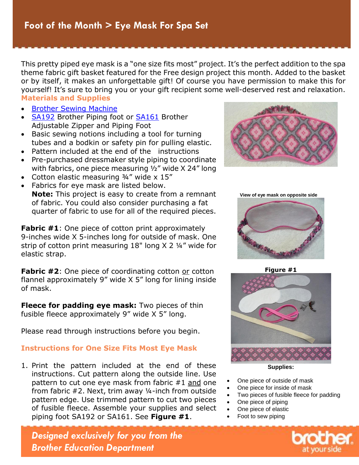This pretty piped eye mask is a "one size fits most" project. It's the perfect addition to the spatial<br>principal eye mask is a "one size fits of course you have permission to make this for<br>or by the size and unique due of theme fabric gift basket featured for the Free design project this month. Added to the basket or by itself, it makes an unforgettable gift! Of course you have permission to make this for yourself! It's sure to bring you or your gift recipient some well-deserved rest and relaxation. **Materials and Supplies** 

- **[Brother Sewing Machine](http://www.brother-usa.com/HomeSewing/ProductList.aspx?cat=combos&WT.svl=CombosLeftNav)**
- [SA192](https://www.brother-usa.com/Homesewing/accessories/AccessoryDetail.aspx?R3AccessoryID=SA192) Brother Piping foot or [SA161](https://www.brother-usa.com/Homesewing/accessories/AccessoryDetail.aspx?R3AccessoryID=SA161) Brother Adjustable Zipper and Piping Foot
- Basic sewing notions including a tool for turning tubes and a bodkin or safety pin for pulling elastic.
- Pattern included at the end of the instructions
- Pre-purchased dressmaker style piping to coordinate with fabrics, one piece measuring ½" wide X 24" long
- Cotton elastic measuring 3/4" wide x 15"
- Fabrics for eye mask are listed below. **Note:** This project is easy to create from a remnant of fabric. You could also consider purchasing a fat quarter of fabric to use for all of the required pieces.

**Fabric #1**: One piece of cotton print approximately 9-inches wide X 5-inches long for outside of mask. One strip of cotton print measuring 18" long X 2 ¼" wide for elastic strap.

**Fabric #2:** One piece of coordinating cotton or cotton flannel approximately 9" wide X 5" long for lining inside of mask.

**Fleece for padding eye mask:** Two pieces of thin fusible fleece approximately 9" wide X 5" long.

Please read through instructions before you begin.

#### **Instructions for One Size Fits Most Eye Mask**

1. Print the pattern included at the end of these instructions. Cut pattern along the outside line. Use pattern to cut one eye mask from fabric #1 and one from fabric #2. Next, trim away ¼-inch from outside pattern edge. Use trimmed pattern to cut two pieces of fusible fleece. Assemble your supplies and select piping foot SA192 or SA161. See **Figure #1**.



 **View of eye mask on opposite side**



**Figure #1**



**Supplies:**

- One piece of outside of mask
- One piece for inside of mask
- Two pieces of fusible fleece for padding
- One piece of piping
- One piece of elastic
- Foot to sew piping

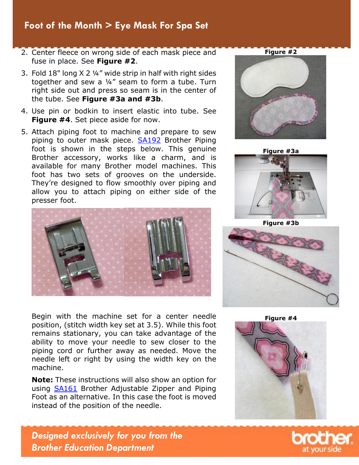## **Projects > Foot of the Month > Eye Mask For Spa Set**

- fuse in place. See **Figure #2**.
- 3. Fold 18" long X 2 ¼" wide strip in half with right sides together and sew a ¼" seam to form a tube. Turn right side out and press so seam is in the center of the tube. See **Figure #3a and #3b**.
- 4. Use pin or bodkin to insert elastic into tube. See **Figure #4**. Set piece aside for now.
- 5. Attach piping foot to machine and prepare to sew piping to outer mask piece. [SA192](https://www.brother-usa.com/Homesewing/accessories/AccessoryDetail.aspx?R3AccessoryID=SA192) Brother Piping foot is shown in the steps below. This genuine Brother accessory, works like a charm, and is available for many Brother model machines. This foot has two sets of grooves on the underside. They're designed to flow smoothly over piping and allow you to attach piping on either side of the presser foot.



Begin with the machine set for a center needle position, (stitch width key set at 3.5). While this foot remains stationary, you can take advantage of the ability to move your needle to sew closer to the piping cord or further away as needed. Move the needle left or right by using the width key on the machine.

**Note:** These instructions will also show an option for using [SA161](https://www.brother-usa.com/Homesewing/accessories/AccessoryDetail.aspx?R3AccessoryID=SA161) Brother Adjustable Zipper and Piping Foot as an alternative. In this case the foot is moved instead of the position of the needle.











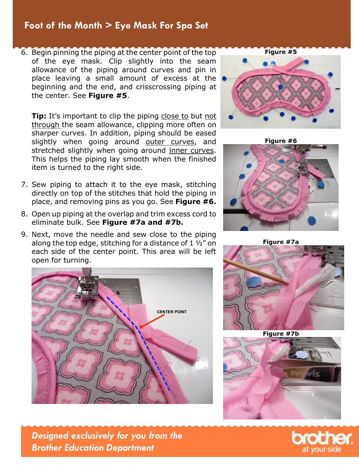### **Projects > Foot of the Month > Eye Mask For Spa Set**

of the eye mask. Clip slightly into the seam allowance of the piping around curves and pin in place leaving a small amount of excess at the beginning and the end, and crisscrossing piping at the center. See **Figure #5**.

**Tip:** It's important to clip the piping close to but not through the seam allowance, clipping more often on sharper curves. In addition, piping should be eased slightly when going around outer curves, and stretched slightly when going around inner curves. This helps the piping lay smooth when the finished item is turned to the right side.

- 7. Sew piping to attach it to the eye mask, stitching directly on top of the stitches that hold the piping in place, and removing pins as you go. See **Figure #6.**
- 8. Open up piping at the overlap and trim excess cord to eliminate bulk. See **Figure #7a and #7b.**
- 9. Next, move the needle and sew close to the piping along the top edge, stitching for a distance of  $1\frac{1}{2}$  on each side of the center point. This area will be left open for turning.







**Figure #7a**



**Figure #7b**



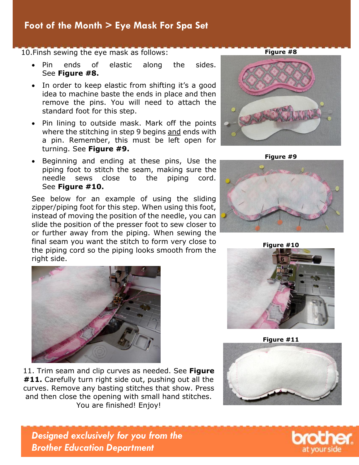# Foot of the Month > Eye Mask For Spa Set

- Pin ends of elastic along the sides. See **Figure #8.**
- In order to keep elastic from shifting it's a good idea to machine baste the ends in place and then remove the pins. You will need to attach the standard foot for this step.
- Pin lining to outside mask. Mark off the points where the stitching in step 9 begins and ends with a pin. Remember, this must be left open for turning. See **Figure #9.**
- Beginning and ending at these pins, Use the piping foot to stitch the seam, making sure the needle sews close to the piping cord. See **Figure #10.**

See below for an example of using the sliding zipper/piping foot for this step. When using this foot, instead of moving the position of the needle, you can slide the position of the presser foot to sew closer to or further away from the piping. When sewing the final seam you want the stitch to form very close to the piping cord so the piping looks smooth from the right side.



11. Trim seam and clip curves as needed. See **Figure #11.** Carefully turn right side out, pushing out all the curves. Remove any basting stitches that show. Press and then close the opening with small hand stitches. You are finished! Enjoy!







**Figure #10**



**Figure #11**





*Designed exclusively for you from the Brother Education Department*